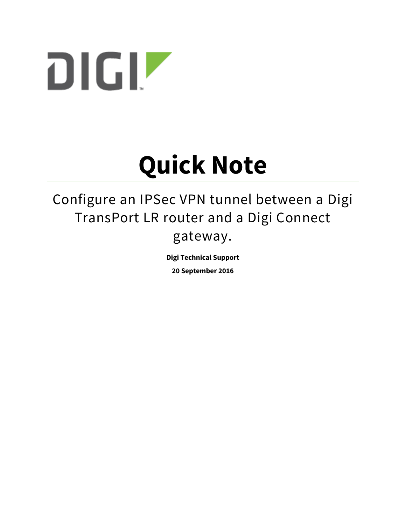

# **Quick Note**

## Configure an IPSec VPN tunnel between a Digi TransPort LR router and a Digi Connect gateway.

**Digi Technical Support**

**20 September 2016**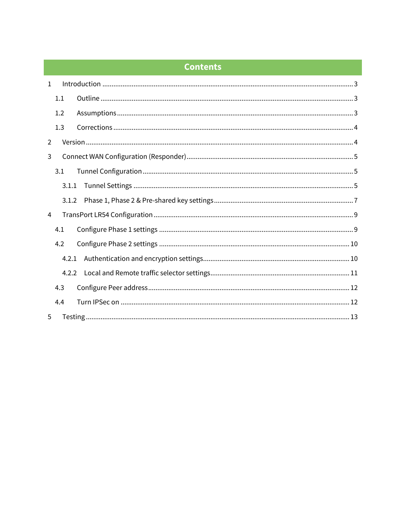## **Contents**

| $\mathbf{1}$   |       |  |  |  |  |  |
|----------------|-------|--|--|--|--|--|
|                | 1.1   |  |  |  |  |  |
|                | 1.2   |  |  |  |  |  |
|                | 1.3   |  |  |  |  |  |
| $\overline{2}$ |       |  |  |  |  |  |
| 3              |       |  |  |  |  |  |
|                | 3.1   |  |  |  |  |  |
|                | 3.1.1 |  |  |  |  |  |
|                | 3.1.2 |  |  |  |  |  |
| 4              |       |  |  |  |  |  |
|                | 4.1   |  |  |  |  |  |
|                | 4.2   |  |  |  |  |  |
|                | 4.2.1 |  |  |  |  |  |
|                | 4.2.2 |  |  |  |  |  |
|                | 4.3   |  |  |  |  |  |
|                | 4.4   |  |  |  |  |  |
| 5              |       |  |  |  |  |  |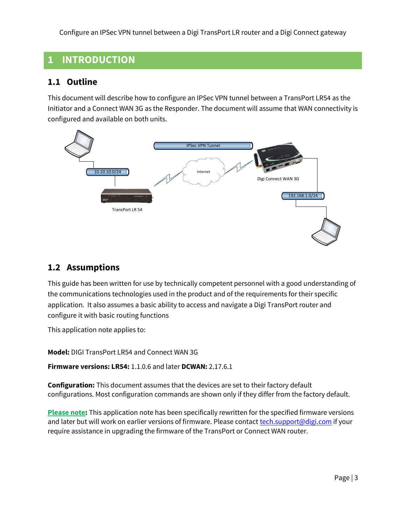## <span id="page-2-0"></span>**1 INTRODUCTION**

## <span id="page-2-1"></span>**1.1 Outline**

This document will describe how to configure an IPSec VPN tunnel between a TransPort LR54 as the Initiator and a Connect WAN 3G as the Responder. The document will assume that WAN connectivity is configured and available on both units.



## <span id="page-2-2"></span>**1.2 Assumptions**

This guide has been written for use by technically competent personnel with a good understanding of the communications technologies used in the product and of the requirements for their specific application. It also assumes a basic ability to access and navigate a Digi TransPort router and configure it with basic routing functions

This application note applies to:

**Model:** DIGI TransPort LR54 and Connect WAN 3G

**Firmware versions: LR54:** 1.1.0.6 and later **DCWAN:** 2.17.6.1

**Configuration:** This document assumes that the devices are set to their factory default configurations. Most configuration commands are shown only if they differ from the factory default.

**Please note:** This application note has been specifically rewritten for the specified firmware versions and later but will work on earlier versions of firmware. Please contact [tech.support@digi.com](mailto:tech.support@digi.com) if your require assistance in upgrading the firmware of the TransPort or Connect WAN router.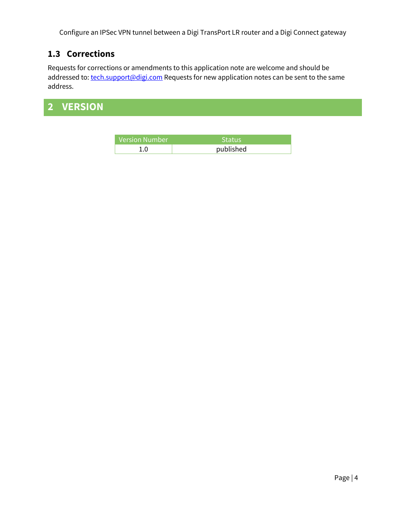## <span id="page-3-0"></span>**1.3 Corrections**

Requests for corrections or amendments to this application note are welcome and should be addressed to: [tech.support@digi.com](mailto:tech.support@digi.com) Requests for new application notes can be sent to the same address.

## <span id="page-3-1"></span>**2 VERSION**

| , Version Number <sup>(</sup> | <b>Status</b> |
|-------------------------------|---------------|
| ∩                             | published     |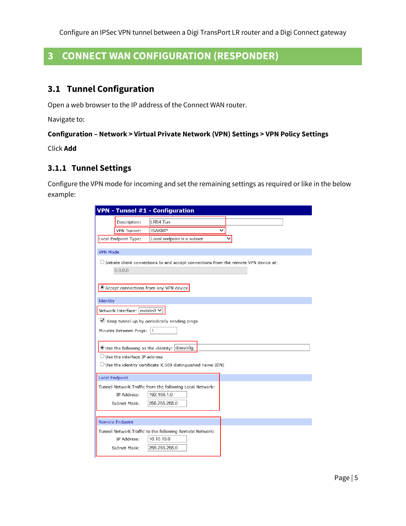## <span id="page-4-0"></span>**3 CONNECT WAN CONFIGURATION (RESPONDER)**

## <span id="page-4-1"></span>**3.1 Tunnel Configuration**

Open a web browser to the IP address of the Connect WAN router.

Navigate to:

#### **Configuration – Network > Virtual Private Network (VPN) Settings > VPN Policy Settings**

Click **Add**

#### <span id="page-4-2"></span>**3.1.1 Tunnel Settings**

Configure the VPN mode for incoming and set the remaining settings as required or like in the below example:

|                        |                                         | <b>VPN - Tunnel #1 - Configuration</b>                                                          |   |  |
|------------------------|-----------------------------------------|-------------------------------------------------------------------------------------------------|---|--|
|                        | Description:                            | LR54 Tun                                                                                        |   |  |
|                        | VPN Tunnel:                             | <b>ISAKMP</b>                                                                                   | ◡ |  |
|                        | Local Endpoint Type:                    | Local endpoint is a subnet                                                                      |   |  |
| <b>VPN Mode</b>        |                                         |                                                                                                 |   |  |
|                        | 0.0.0.0                                 | $\bigcirc$ Initiate client connections to and accept connections from the remote VPN device at: |   |  |
|                        |                                         | Accept connections from any VPN device                                                          |   |  |
| Identity               |                                         |                                                                                                 |   |  |
|                        | Network Interface: mobile0 V            |                                                                                                 |   |  |
|                        |                                         |                                                                                                 |   |  |
|                        |                                         | $\vee$ Keep tunnel up by periodically sending pings                                             |   |  |
|                        | Minutes Between Pings:                  | 1                                                                                               |   |  |
|                        |                                         | $\bullet$ Use the following as the identity: dcwan3g                                            |   |  |
|                        | $\bigcirc$ Use the interface IP address |                                                                                                 |   |  |
|                        |                                         | $\bigcirc$ Use the identity certificate X.509 distinguished name (DN)                           |   |  |
|                        |                                         |                                                                                                 |   |  |
| <b>Local Endpoint</b>  |                                         |                                                                                                 |   |  |
|                        | IP Address:                             | Tunnel Network Traffic from the following Local Network:<br>192.168.1.0                         |   |  |
|                        | Subnet Mask:                            | 255.255.255.0                                                                                   |   |  |
|                        |                                         |                                                                                                 |   |  |
| <b>Remote Endpoint</b> |                                         |                                                                                                 |   |  |
|                        |                                         | Tunnel Network Traffic to the following Remote Network:                                         |   |  |
|                        | IP Address:                             | 10.10.10.0                                                                                      |   |  |
|                        | Subnet Mask:                            | 255.255.255.0                                                                                   |   |  |
|                        |                                         |                                                                                                 |   |  |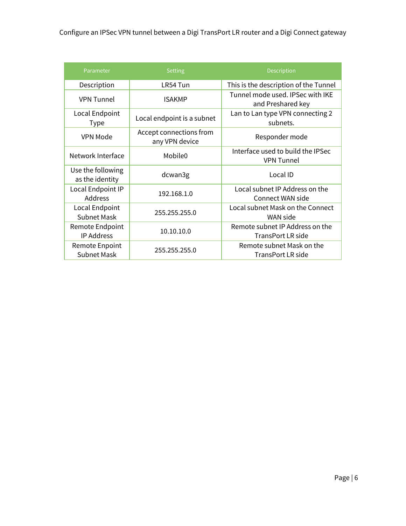| Parameter                            | <b>Setting</b>                            | <b>Description</b>                                     |
|--------------------------------------|-------------------------------------------|--------------------------------------------------------|
| Description                          | LR54 Tun                                  | This is the description of the Tunnel                  |
| <b>VPN Tunnel</b>                    | <b>ISAKMP</b>                             | Tunnel mode used. IPSec with IKE<br>and Preshared key  |
| Local Endpoint<br><b>Type</b>        | Local endpoint is a subnet                | Lan to Lan type VPN connecting 2<br>subnets.           |
| VPN Mode                             | Accept connections from<br>any VPN device | Responder mode                                         |
| Network Interface                    | Mobile <sub>0</sub>                       | Interface used to build the IPSec<br><b>VPN Tunnel</b> |
| Use the following<br>as the identity | dcwan3g                                   | Local ID                                               |
| Local Endpoint IP<br>Address         | 192.168.1.0                               | Local subnet IP Address on the<br>Connect WAN side     |
| Local Endpoint<br><b>Subnet Mask</b> | 255.255.255.0                             | Local subnet Mask on the Connect<br>WAN side           |
| Remote Endpoint<br><b>IP Address</b> | 10.10.10.0                                | Remote subnet IP Address on the<br>TransPort LR side   |
| Remote Enpoint<br><b>Subnet Mask</b> | 255.255.255.0                             | Remote subnet Mask on the<br>TransPort LR side         |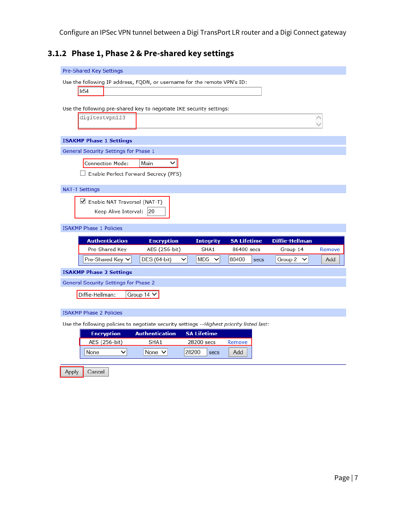## <span id="page-6-0"></span>**3.1.2 Phase 1, Phase 2 & Pre-shared key settings**

| Pre-Shared Key Settings                                                                                         |  |  |  |  |  |  |  |
|-----------------------------------------------------------------------------------------------------------------|--|--|--|--|--|--|--|
| Use the following IP address, FQDN, or username for the remote VPN's ID:                                        |  |  |  |  |  |  |  |
| Ir <sub>54</sub>                                                                                                |  |  |  |  |  |  |  |
|                                                                                                                 |  |  |  |  |  |  |  |
| Use the following pre-shared key to negotiate IKE security settings:<br>digitestvpn123                          |  |  |  |  |  |  |  |
|                                                                                                                 |  |  |  |  |  |  |  |
| <b>ISAKMP Phase 1 Settings</b>                                                                                  |  |  |  |  |  |  |  |
| General Security Settings for Phase 1                                                                           |  |  |  |  |  |  |  |
| <b>Connection Mode:</b><br>Main<br>◡                                                                            |  |  |  |  |  |  |  |
| $\Box$ Enable Perfect Forward Secrecy (PFS)                                                                     |  |  |  |  |  |  |  |
|                                                                                                                 |  |  |  |  |  |  |  |
| <b>NAT-T Settings</b>                                                                                           |  |  |  |  |  |  |  |
| ■ Enable NAT Traversal (NAT-T)                                                                                  |  |  |  |  |  |  |  |
| Keep Alive Interval:<br> 20                                                                                     |  |  |  |  |  |  |  |
| <b>ISAKMP Phase 1 Policies</b>                                                                                  |  |  |  |  |  |  |  |
| <b>Authentication</b><br><b>Encryption</b><br><b>Integrity</b><br><b>Diffie-Hellman</b><br><b>SA Lifetime</b>   |  |  |  |  |  |  |  |
| Pre-Shared Key<br>AES (256-bit)<br>SHA1<br>86400 secs<br>Group 14<br>Remove                                     |  |  |  |  |  |  |  |
| DES (64-bit)<br>MD5<br>86400<br>Pre-Shared Key V<br>v<br>Group 2<br>$\checkmark$<br>$\checkmark$<br>Add<br>secs |  |  |  |  |  |  |  |
| <b>ISAKMP Phase 2 Settings</b>                                                                                  |  |  |  |  |  |  |  |
| <b>General Security Settings for Phase 2</b>                                                                    |  |  |  |  |  |  |  |
|                                                                                                                 |  |  |  |  |  |  |  |
| Diffie-Hellman:                                                                                                 |  |  |  |  |  |  |  |
| Group 14 V                                                                                                      |  |  |  |  |  |  |  |
| <b>ISAKMP Phase 2 Policies</b>                                                                                  |  |  |  |  |  |  |  |
| Use the following policies to negotiate security settings --Highest priority listed last:                       |  |  |  |  |  |  |  |
| <b>Authentication</b><br><b>SA Lifetime</b><br><b>Encryption</b>                                                |  |  |  |  |  |  |  |
| AES (256-bit)<br>SHA1<br>28200 secs<br>Remove                                                                   |  |  |  |  |  |  |  |
| None<br>None $\vee$<br>28200<br>$\checkmark$<br>Add<br>secs                                                     |  |  |  |  |  |  |  |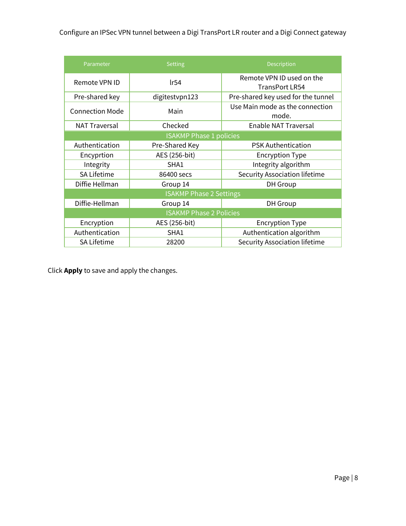| Parameter                      | <b>Setting</b>                 | Description                                 |  |  |  |  |
|--------------------------------|--------------------------------|---------------------------------------------|--|--|--|--|
| Remote VPN ID                  | lr54                           | Remote VPN ID used on the<br>TransPort LR54 |  |  |  |  |
| Pre-shared key                 | digitestypn123                 | Pre-shared key used for the tunnel          |  |  |  |  |
| <b>Connection Mode</b>         | Main                           | Use Main mode as the connection<br>mode.    |  |  |  |  |
| <b>NAT Traversal</b>           | Checked                        | Enable NAT Traversal                        |  |  |  |  |
| <b>ISAKMP Phase 1 policies</b> |                                |                                             |  |  |  |  |
| Authentication                 | Pre-Shared Key                 | <b>PSK Authentication</b>                   |  |  |  |  |
| Encyprtion                     | AES (256-bit)                  | <b>Encryption Type</b>                      |  |  |  |  |
| Integrity                      | SHA1                           | Integrity algorithm                         |  |  |  |  |
| SA Lifetime                    | 86400 secs                     | <b>Security Association lifetime</b>        |  |  |  |  |
| Diffie Hellman                 | Group 14                       | <b>DH</b> Group                             |  |  |  |  |
|                                | <b>ISAKMP Phase 2 Settings</b> |                                             |  |  |  |  |
| Diffie-Hellman                 | Group 14                       | DH Group                                    |  |  |  |  |
| <b>ISAKMP Phase 2 Policies</b> |                                |                                             |  |  |  |  |
| Encryption                     | AES (256-bit)                  | <b>Encryption Type</b>                      |  |  |  |  |
| Authentication                 | SHA1                           | Authentication algorithm                    |  |  |  |  |
| <b>SA Lifetime</b>             | 28200                          | Security Association lifetime               |  |  |  |  |

Click **Apply** to save and apply the changes.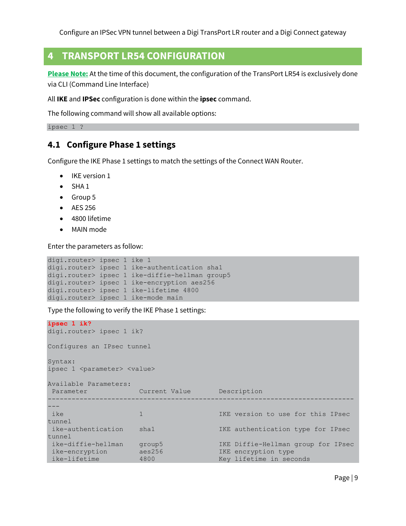## <span id="page-8-0"></span>**4 TRANSPORT LR54 CONFIGURATION**

**Please Note:** At the time of this document, the configuration of the TransPort LR54 is exclusively done via CLI (Command Line Interface)

All **IKE** and **IPSec** configuration is done within the **ipsec** command.

The following command will show all available options:

```
ipsec 1 ?
```
## **4.1 Configure Phase 1 settings**

Configure the IKE Phase 1 settings to match the settings of the Connect WAN Router.

- IKE version 1
- $\bullet$  SHA 1
- Group 5
- AES 256
- 4800 lifetime
- MAIN mode

Enter the parameters as follow:

```
digi.router> ipsec 1 ike 1
digi.router> ipsec 1 ike-authentication sha1
digi.router> ipsec 1 ike-diffie-hellman group5
digi.router> ipsec 1 ike-encryption aes256
digi.router> ipsec 1 ike-lifetime 4800
digi.router> ipsec 1 ike-mode main
```
Type the following to verify the IKE Phase 1 settings:

```
ipsec 1 ik?
digi.router> ipsec 1 ik?
Configures an IPsec tunnel
Syntax:
ipsec 1 <parameter> <value>
Available Parameters:
Parameter Current Value Description
-----------------------------------------------------------------------------
---
ike 1 1 1 1 IKE version to use for this IPsec
tunnel
ike-authentication sha1 IKE authentication type for IPsec 
tunnel
                                    IKE Diffie-Hellman group for IPsec
 ike-encryption aes256 IKE encryption type
 ike-lifetime 4800 Key lifetime in seconds
```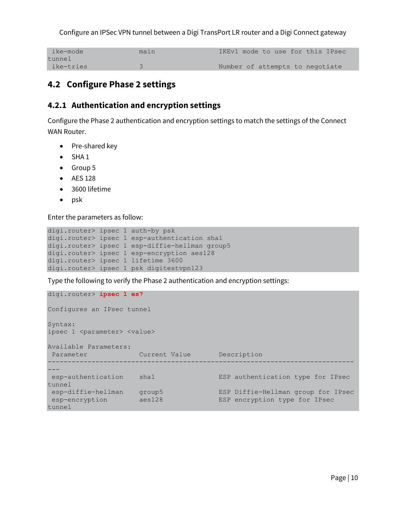| ike-mode  | maın |                                 |  |  | IKEv1 mode to use for this IPsec |
|-----------|------|---------------------------------|--|--|----------------------------------|
| tunnel    |      |                                 |  |  |                                  |
| ike-tries |      | Number of attempts to negotiate |  |  |                                  |

## <span id="page-9-0"></span>**4.2 Configure Phase 2 settings**

#### <span id="page-9-1"></span>**4.2.1 Authentication and encryption settings**

Configure the Phase 2 authentication and encryption settings to match the settings of the Connect WAN Router.

- Pre-shared key
- $\bullet$  SHA 1
- Group 5
- AES 128
- 3600 lifetime
- $\bullet$  psk

Enter the parameters as follow:

```
digi.router> ipsec 1 auth-by psk
digi.router> ipsec 1 esp-authentication sha1
digi.router> ipsec 1 esp-diffie-hellman group5
digi.router> ipsec 1 esp-encryption aes128
digi.router> ipsec 1 lifetime 3600
digi.router> ipsec 1 psk digitestvpn123
```
Type the following to verify the Phase 2 authentication and encryption settings:

```
digi.router> ipsec 1 es?
Configures an IPsec tunnel
Syntax:
ipsec 1 <parameter> <value>
Available Parameters:
 Parameter Current Value Description
 -----------------------------------------------------------------------------
---
esp-authentication sha1 ESP authentication type for IPsec 
tunnel
                                             ESP Diffie-Hellman group for IPsec
esp-diffie-hellman group5 ESP Diffie-Hellman group for I<br>esp-encryption aes128 ESP encryption type for IPsec
tunnel
```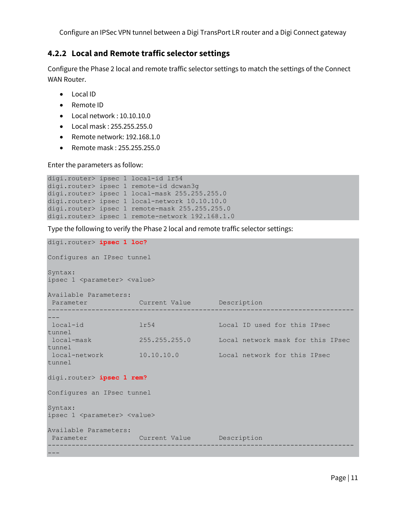## <span id="page-10-0"></span>**4.2.2 Local and Remote traffic selector settings**

Configure the Phase 2 local and remote traffic selector settings to match the settings of the Connect WAN Router.

- Local ID
- Remote ID
- Local network : 10.10.10.0
- Local mask : 255.255.255.0
- Remote network: 192.168.1.0
- Remote mask : 255.255.255.0

Enter the parameters as follow:

```
digi.router> ipsec 1 local-id lr54
digi.router> ipsec 1 remote-id dcwan3g
digi.router> ipsec 1 local-mask 255.255.255.0
digi.router> ipsec 1 local-network 10.10.10.0
digi.router> ipsec 1 remote-mask 255.255.255.0
digi.router> ipsec 1 remote-network 192.168.1.0
```
Type the following to verify the Phase 2 local and remote traffic selector settings:

```
digi.router> ipsec 1 loc?
Configures an IPsec tunnel
Syntax:
ipsec 1 <parameter> <value>
Available Parameters:
Parameter Current Value Description
-----------------------------------------------------------------------------
---
local-id lr54 Local ID used for this IPsec 
tunnel
local-mask 255.255.255.0 Local network mask for this IPsec 
tunnel
local-network 10.10.10.0 Local network for this IPsec 
tunnel
digi.router> ipsec 1 rem?
Configures an IPsec tunnel
Syntax:
ipsec 1 <parameter> <value>
Available Parameters:
Parameter Current Value Description
-----------------------------------------------------------------------------
---
```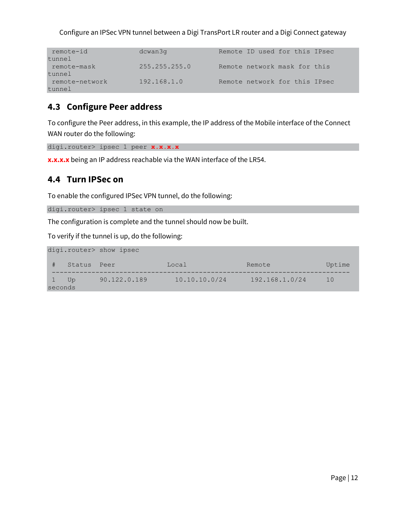| remote-id      | dcwan3q       |  | Remote ID used for this IPsec |  |
|----------------|---------------|--|-------------------------------|--|
| tunnel         |               |  |                               |  |
| remote-mask    | 255.255.255.0 |  | Remote network mask for this  |  |
| tunnel         |               |  |                               |  |
| remote-network | 192.168.1.0   |  | Remote network for this IPsec |  |
| tunnel         |               |  |                               |  |

## <span id="page-11-0"></span>**4.3 Configure Peer address**

To configure the Peer address, in this example, the IP address of the Mobile interface of the Connect WAN router do the following:

```
digi.router> ipsec 1 peer x.x.x.x
```
**x.x.x.x** being an IP address reachable via the WAN interface of the LR54.

## <span id="page-11-1"></span>**4.4 Turn IPSec on**

To enable the configured IPSec VPN tunnel, do the following:

digi.router> ipsec 1 state on

The configuration is complete and the tunnel should now be built.

To verify if the tunnel is up, do the following:

|                 |        | digi.router> show ipsec |               |                |          |
|-----------------|--------|-------------------------|---------------|----------------|----------|
| #               | Status | Peer                    | Local         | Remote         | Uptime   |
| 1 Up<br>seconds |        | 90.122.0.189            | 10.10.10.0/24 | 192.168.1.0/24 | $10^{-}$ |